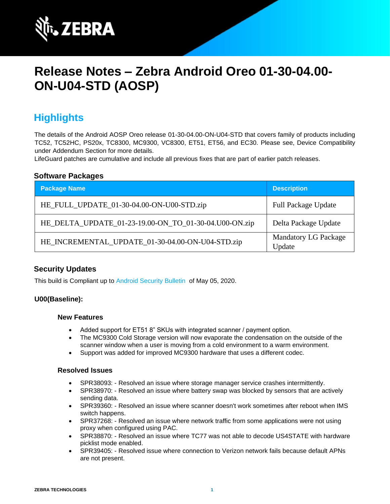

# **Release Notes – Zebra Android Oreo 01-30-04.00- ON-U04-STD (AOSP)**

# **Highlights**

The details of the Android AOSP Oreo release 01-30-04.00-ON-U04-STD that covers family of products including TC52, TC52HC, PS20x, TC8300, MC9300, VC8300, ET51, ET56, and EC30. Please see, Device Compatibility under Addendum Section for more details.

LifeGuard patches are cumulative and include all previous fixes that are part of earlier patch releases.

#### **Software Packages**

| <b>Package Name</b>                                   | <b>Description</b>                    |
|-------------------------------------------------------|---------------------------------------|
| HE_FULL_UPDATE_01-30-04.00-ON-U00-STD.zip             | <b>Full Package Update</b>            |
| HE_DELTA_UPDATE_01-23-19.00-ON_TO_01-30-04.U00-ON.zip | Delta Package Update                  |
| HE_INCREMENTAL_UPDATE_01-30-04.00-ON-U04-STD.zip      | <b>Mandatory LG Package</b><br>Update |

### **Security Updates**

This build is Compliant up to [Android Security Bulletin](https://source.android.com/security/bulletin/) of May 05, 2020.

#### **U00(Baseline):**

#### **New Features**

- Added support for ET51 8" SKUs with integrated scanner / payment option.
- The MC9300 Cold Storage version will now evaporate the condensation on the outside of the scanner window when a user is moving from a cold environment to a warm environment.
- Support was added for improved MC9300 hardware that uses a different codec.

#### **Resolved Issues**

- SPR38093: Resolved an issue where storage manager service crashes intermittently.
- SPR38970: Resolved an issue where battery swap was blocked by sensors that are actively sending data.
- SPR39360: Resolved an issue where scanner doesn't work sometimes after reboot when IMS switch happens.
- SPR37268: Resolved an issue where network traffic from some applications were not using proxy when configured using PAC.
- SPR38870: Resolved an issue where TC77 was not able to decode US4STATE with hardware picklist mode enabled.
- SPR39405: Resolved issue where connection to Verizon network fails because default APNs are not present.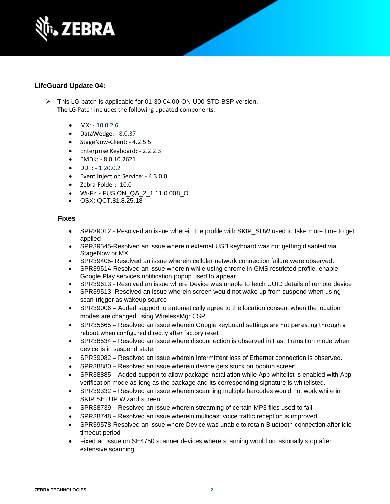

## **LifeGuard Update 04:**

- ➢ This LG patch is applicable for 01-30-04.00-ON-U00-STD BSP version. The LG Patch includes the following updated components.
	- $MX: -10.0.2.6$
	- DataWedge: 8.0.37
	- StageNow-Client: 4.2.5.5
	- Enterprise Keyboard: 2.2.2.3
	- EMDK: 8.0.10.2621
	- DDT: 1.20.0.2
	- Event injection Service: 4.3.0.0
	- Zebra Folder: -10.0
	- Wi-Fi: FUSION\_QA\_2\_1.11.0.008\_O
	- OSX: QCT.81.8.25.18

### **Fixes**

- SPR39012 Resolved an issue wherein the profile with SKIP\_SUW used to take more time to get applied
- SPR39545-Resolved an issue wherein external USB keyboard was not getting disabled via StageNow or MX
- SPR39405- Resolved an issue wherein cellular network connection failure were observed.
- SPR39514-Resolved an issue wherein while using chrome in GMS restricted profile, enable Google Play services notification popup used to appear.
- SPR39613 Resolved an issue where Device was unable to fetch UUID details of remote device
- SPR39513- Resolved an issue wherein screen would not wake up from suspend when using scan-trigger as wakeup source
- SPR39006 Added support to automatically agree to the location consent when the location modes are changed using WirelessMgr CSP
- SPR35665 Resolved an issue wherein Google keyboard settings are not persisting through a reboot when configured directly after factory reset
- SPR38534 Resolved an issue where disconnection is observed in Fast Transition mode when device is in suspend state.
- SPR39082 Resolved an issue wherein Intermittent loss of Ethernet connection is observed.
- SPR38880 Resolved an issue wherein device gets stuck on bootup screen.
- SPR38885 Added support to allow package installation while App whitelist is enabled with App verification mode as long as the package and its corresponding signature is whitelisted.
- SPR39332 Resolved an issue wherein scanning multiple barcodes would not work while in SKIP SETUP Wizard screen
- SPR38739 Resolved an issue wherein streaming of certain MP3 files used to fail
- SPR38748 Resolved an issue wherein multicast voice traffic reception is improved.
- SPR39578-Resolved an issue where Device was unable to retain Bluetooth connection after idle timeout period
- Fixed an issue on SE4750 scanner devices where scanning would occasionally stop after extensive scanning.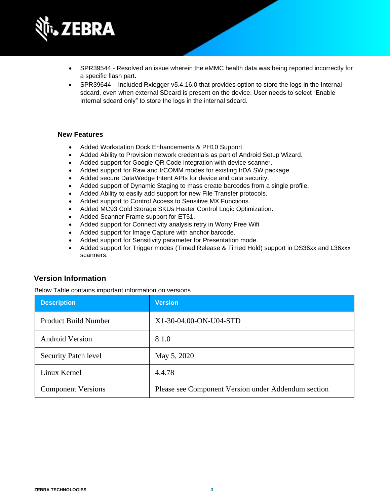

- SPR39544 Resolved an issue wherein the eMMC health data was being reported incorrectly for a specific flash part.
- SPR39644 Included Rxlogger v5.4.16.0 that provides option to store the logs in the Internal sdcard, even when external SDcard is present on the device. User needs to select "Enable Internal sdcard only" to store the logs in the internal sdcard.

#### **New Features**

- Added Workstation Dock Enhancements & PH10 Support.
- Added Ability to Provision network credentials as part of Android Setup Wizard.
- Added support for Google QR Code integration with device scanner.
- Added support for Raw and IrCOMM modes for existing IrDA SW package.
- Added secure DataWedge Intent APIs for device and data security.
- Added support of Dynamic Staging to mass create barcodes from a single profile.
- Added Ability to easily add support for new File Transfer protocols.
- Added support to Control Access to Sensitive MX Functions.
- Added MC93 Cold Storage SKUs Heater Control Logic Optimization.
- Added Scanner Frame support for ET51.
- Added support for Connectivity analysis retry in Worry Free Wifi
- Added support for Image Capture with anchor barcode.
- Added support for Sensitivity parameter for Presentation mode.
- Added support for Trigger modes (Timed Release & Timed Hold) support in DS36xx and L36xxx scanners.

### **Version Information**

Below Table contains important information on versions

| <b>Description</b>          | <b>Version</b>                                      |
|-----------------------------|-----------------------------------------------------|
| <b>Product Build Number</b> | X1-30-04.00-ON-U04-STD                              |
| <b>Android Version</b>      | 8.1.0                                               |
| Security Patch level        | May 5, 2020                                         |
| Linux Kernel                | 4.4.78                                              |
| <b>Component Versions</b>   | Please see Component Version under Addendum section |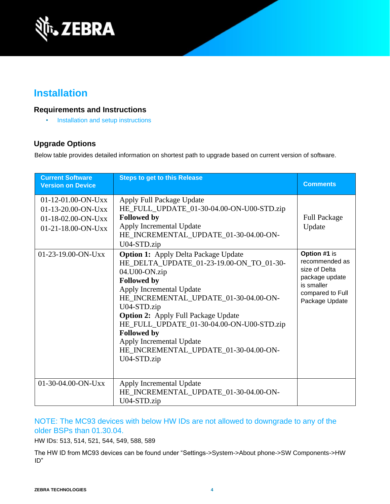

# **Installation**

## **Requirements and Instructions**

• [Installation and setup instructions](https://www.zebra.com/content/dam/zebra_new_ia/en-us/software/operating-system/helios/oreo-os-update-instructions.pdf)

# **Upgrade Options**

Below table provides detailed information on shortest path to upgrade based on current version of software.

| <b>Current Software</b><br><b>Version on Device</b>                                          | <b>Steps to get to this Release</b>                                                                                                                                                                                                                                                                                                                                                                                     | <b>Comments</b>                                                                                                       |
|----------------------------------------------------------------------------------------------|-------------------------------------------------------------------------------------------------------------------------------------------------------------------------------------------------------------------------------------------------------------------------------------------------------------------------------------------------------------------------------------------------------------------------|-----------------------------------------------------------------------------------------------------------------------|
| $01-12-01.00-ON-Uxx$<br>$01-13-20.00-ON-Uxx$<br>$01-18-02.00-ON-UXX$<br>$01-21-18.00-ON-Uxx$ | Apply Full Package Update<br>HE_FULL_UPDATE_01-30-04.00-ON-U00-STD.zip<br><b>Followed by</b><br>Apply Incremental Update<br>HE_INCREMENTAL_UPDATE_01-30-04.00-ON-<br>U04-STD.zip                                                                                                                                                                                                                                        | <b>Full Package</b><br>Update                                                                                         |
| $01-23-19.00$ -ON-Uxx                                                                        | <b>Option 1:</b> Apply Delta Package Update<br>HE_DELTA_UPDATE_01-23-19.00-ON_TO_01-30-<br>04.U00-ON.zip<br><b>Followed by</b><br>Apply Incremental Update<br>HE_INCREMENTAL_UPDATE_01-30-04.00-ON-<br>U04-STD.zip<br><b>Option 2:</b> Apply Full Package Update<br>HE_FULL_UPDATE_01-30-04.00-ON-U00-STD.zip<br><b>Followed by</b><br>Apply Incremental Update<br>HE_INCREMENTAL_UPDATE_01-30-04.00-ON-<br>U04-STD.zip | Option #1 is<br>recommended as<br>size of Delta<br>package update<br>is smaller<br>compared to Full<br>Package Update |
| $01-30-04.00-ON-UXX$                                                                         | Apply Incremental Update<br>HE_INCREMENTAL_UPDATE_01-30-04.00-ON-<br>U04-STD.zip                                                                                                                                                                                                                                                                                                                                        |                                                                                                                       |

## NOTE: The MC93 devices with below HW IDs are not allowed to downgrade to any of the older BSPs than 01.30.04.

HW IDs: 513, 514, 521, 544, 549, 588, 589

The HW ID from MC93 devices can be found under "Settings->System->About phone->SW Components->HW ID"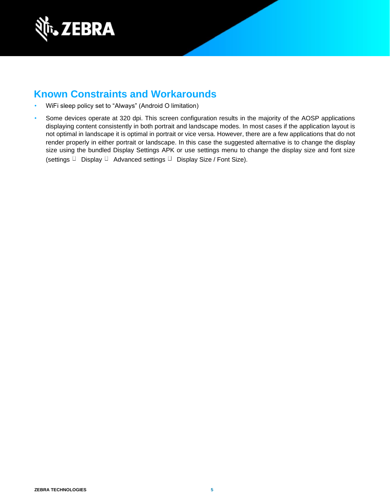

# **Known Constraints and Workarounds**

- WiFi sleep policy set to "Always" (Android O limitation)
- Some devices operate at 320 dpi. This screen configuration results in the majority of the AOSP applications displaying content consistently in both portrait and landscape modes. In most cases if the application layout is not optimal in landscape it is optimal in portrait or vice versa. However, there are a few applications that do not render properly in either portrait or landscape. In this case the suggested alternative is to change the display size using the bundled Display Settings APK or use settings menu to change the display size and font size (settings  $\Box$  Display  $\Box$  Advanced settings  $\Box$  Display Size / Font Size).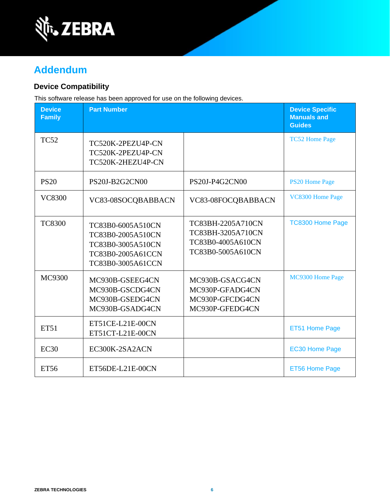

# **Addendum**

## **Device Compatibility**

This software release has been approved for use on the following devices.

| <b>Device</b><br><b>Family</b> | <b>Part Number</b>                                                                                    |                                                                                  | <b>Device Specific</b><br><b>Manuals and</b><br><b>Guides</b> |
|--------------------------------|-------------------------------------------------------------------------------------------------------|----------------------------------------------------------------------------------|---------------------------------------------------------------|
| <b>TC52</b>                    | TC520K-2PEZU4P-CN<br>TC520K-2PEZU4P-CN<br>TC520K-2HEZU4P-CN                                           |                                                                                  | <b>TC52 Home Page</b>                                         |
| <b>PS20</b>                    | PS20J-B2G2CN00                                                                                        | PS20J-P4G2CN00                                                                   | <b>PS20 Home Page</b>                                         |
| <b>VC8300</b>                  | VC83-08SOCQBABBACN                                                                                    | VC83-08FOCQBABBACN                                                               | VC8300 Home Page                                              |
| <b>TC8300</b>                  | TC83B0-6005A510CN<br>TC83B0-2005A510CN<br>TC83B0-3005A510CN<br>TC83B0-2005A61CCN<br>TC83B0-3005A61CCN | TC83BH-2205A710CN<br>TC83BH-3205A710CN<br>TC83B0-4005A610CN<br>TC83B0-5005A610CN | <b>TC8300 Home Page</b>                                       |
| MC9300                         | MC930B-GSEEG4CN<br>MC930B-GSCDG4CN<br>MC930B-GSEDG4CN<br>MC930B-GSADG4CN                              | MC930B-GSACG4CN<br>MC930P-GFADG4CN<br>MC930P-GFCDG4CN<br>MC930P-GFEDG4CN         | MC9300 Home Page                                              |
| <b>ET51</b>                    | ET51CE-L21E-00CN<br>ET51CT-L21E-00CN                                                                  |                                                                                  | ET51 Home Page                                                |
| EC30                           | EC300K-2SA2ACN                                                                                        |                                                                                  | <b>EC30 Home Page</b>                                         |
| <b>ET56</b>                    | ET56DE-L21E-00CN                                                                                      |                                                                                  | ET56 Home Page                                                |